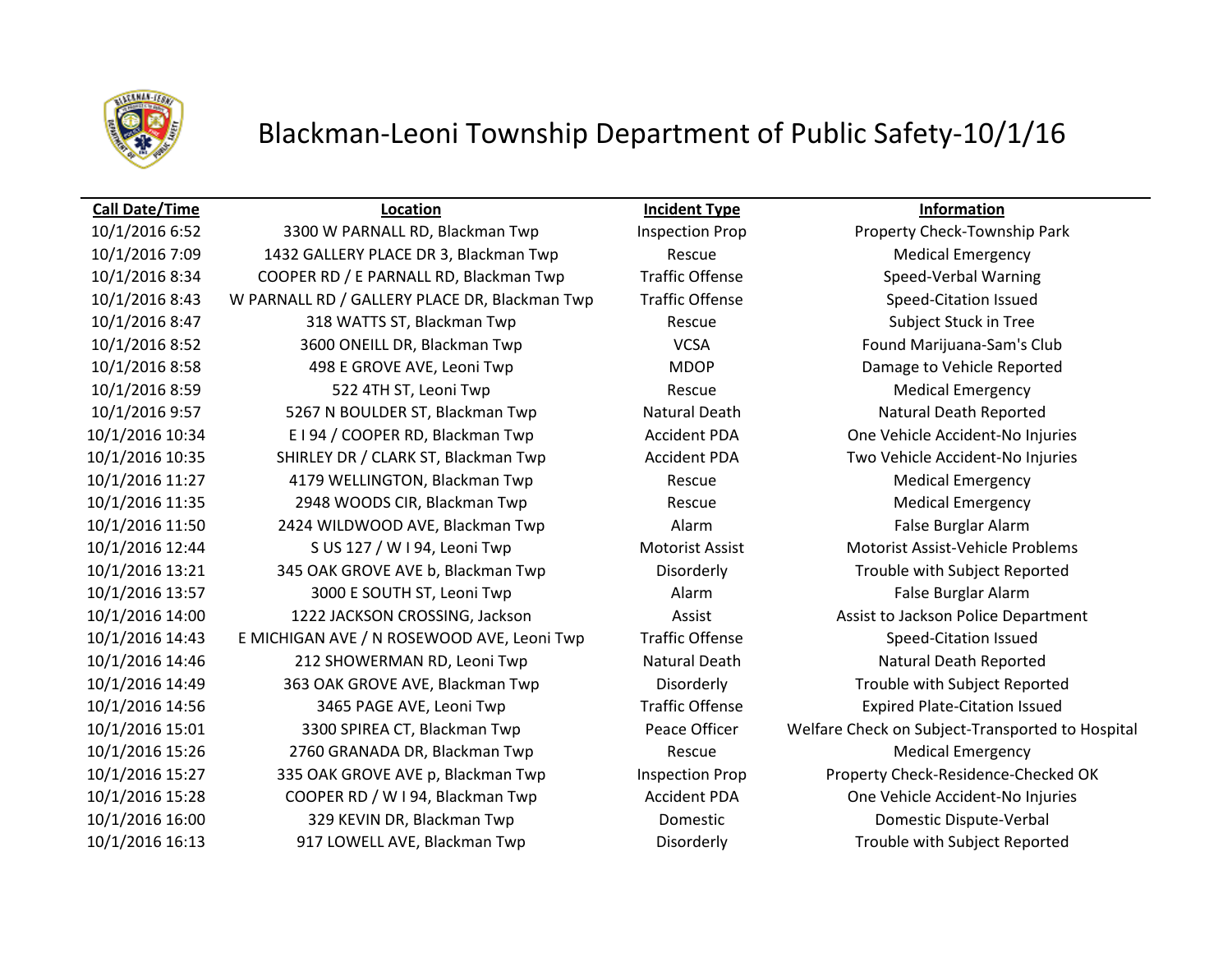

## Blackman-Leoni Township Department of Public Safety-10/1/16

### **Call Date/Time Location Incident Type Information**

10/1/2016 7:09 1432 GALLERY PLACE DR 3, Blackman Twp Rescue Medical Emergency 10/1/2016 8:34 COOPER RD / E PARNALL RD, Blackman Twp Traffic Offense Speed-Verbal Warning 10/1/2016 8:43 W PARNALL RD / GALLERY PLACE DR, Blackman Twp Traffic Offense Speed-Citation Issued 10/1/2016 8:47 318 WATTS ST, Blackman Twp Rescue Rescue Subject Stuck in Tree 10/1/2016 8:52 3600 ONEILL DR, Blackman Twp VCSA Found Marijuana-Sam's Club 10/1/2016 8:58 498 E GROVE AVE, Leoni Twp MDOP Damage to Vehicle Reported 10/1/2016 8:59 522 4TH ST, Leoni Twp Rescue Medical Emergency 10/1/2016 9:57 5267 N BOULDER ST, Blackman Twp Natural Death Natural Death Reported 10/1/2016 10:34 E I 94 / COOPER RD, Blackman Twp Accident PDA One Vehicle Accident-No Injuries 10/1/2016 10:35 SHIRLEY DR / CLARK ST, Blackman Twp Accident PDA Two Vehicle Accident-No Injuries 10/1/2016 11:27 4179 WELLINGTON, Blackman Twp Rescue Medical Emergency 10/1/2016 11:35 2948 WOODS CIR, Blackman Twp Rescue Rescue Medical Emergency 10/1/2016 11:50 2424 WILDWOOD AVE, Blackman Twp **Alarm Alarm False Burglar Alarm** False Burglar Alarm 10/1/2016 12:44 S US 127 / W I 94, Leoni Twp Motorist Assist Motorist Assist-Vehicle Problems 10/1/2016 13:21 345 OAK GROVE AVE b, Blackman Twp Disorderly Trouble with Subject Reported 10/1/2016 13:57 3000 E SOUTH ST, Leoni Twp Alarm Alarm Alarm False Burglar Alarm 10/1/2016 14:00 1222 JACKSON CROSSING, Jackson Assist Assist to Jackson Police Department 10/1/2016 14:43 E MICHIGAN AVE / N ROSEWOOD AVE, Leoni Twp Traffic Offense Speed-Citation Issued 10/1/2016 14:46 212 SHOWERMAN RD, Leoni Twp Natural Death Natural Death Reported 10/1/2016 14:49 363 OAK GROVE AVE, Blackman Twp Disorderly Trouble with Subject Reported 10/1/2016 14:56 3465 PAGE AVE, Leoni Twp Traffic Offense Expired Plate-Citation Issued 10/1/2016 15:01 3300 SPIREA CT, Blackman Twp Peace Officer Welfare Check on Subject-Transported to Hospital 10/1/2016 15:26 2760 GRANADA DR, Blackman Twp Rescue Medical Emergency 10/1/2016 15:27 335 OAK GROVE AVE p, Blackman Twp Inspection Prop Property Check-Residence-Checked OK 10/1/2016 15:28 COOPER RD / W I 94, Blackman Twp Accident PDA One Vehicle Accident-No Injuries 10/1/2016 16:00 329 KEVIN DR, Blackman Twp Domestic Domestic Dispute-Verbal 10/1/2016 16:13 917 LOWELL AVE, Blackman Twp Disorderly Trouble with Subject Reported

10/1/2016 6:52 3300 W PARNALL RD, Blackman Twp Inspection Prop Property Check-Township Park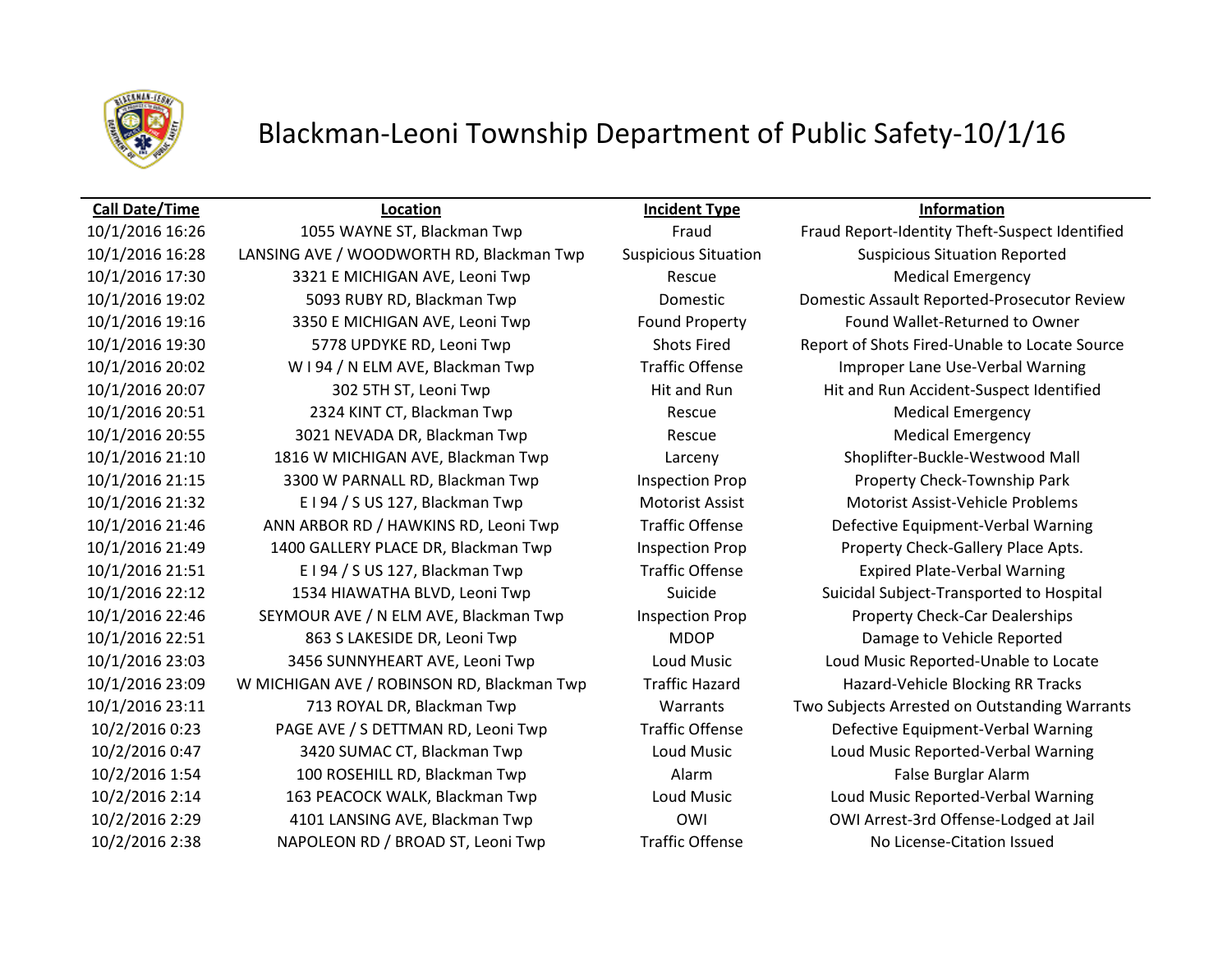

## Blackman-Leoni Township Department of Public Safety-10/1/16

### **Call Date/Time Location Incident Type Information**

10/1/2016 16:28 LANSING AVE / WOODWORTH RD, Blackman Twp Suspicious Situation Suspicious Situation Reported 10/1/2016 17:30 3321 E MICHIGAN AVE, Leoni Twp Rescue Medical Emergency 10/1/2016 19:02 5093 RUBY RD, Blackman Twp Domestic Domestic Assault Reported-Prosecutor Review 10/1/2016 19:16 3350 E MICHIGAN AVE, Leoni Twp Found Property Found Wallet-Returned to Owner 10/1/2016 19:30 5778 UPDYKE RD, Leoni Twp Shots Fired Report of Shots Fired-Unable to Locate Source 10/1/2016 20:02 W I 94 / N ELM AVE, Blackman Twp Traffic Offense Improper Lane Use-Verbal Warning 10/1/2016 20:07 302 5TH ST, Leoni Twp Hit and Run Hit and Run Hit and Run Accident-Suspect Identified 10/1/2016 20:51 2324 KINT CT, Blackman Twp Rescue Medical Emergency 10/1/2016 20:55 3021 NEVADA DR, Blackman Twp Rescue Rescue Medical Emergency 10/1/2016 21:10 1816 W MICHIGAN AVE, Blackman Twp Larceny Shoplifter-Buckle-Westwood Mall 10/1/2016 21:15 3300 W PARNALL RD, Blackman Twp Inspection Prop Property Check-Township Park 10/1/2016 21:32 E I 94 / S US 127, Blackman Twp Motorist Assist Motorist Assist-Vehicle Problems 10/1/2016 21:46 ANN ARBOR RD / HAWKINS RD, Leoni Twp Traffic Offense Defective Equipment-Verbal Warning 10/1/2016 21:49 1400 GALLERY PLACE DR, Blackman Twp Inspection Prop Property Check-Gallery Place Apts. 10/1/2016 21:51 E I 94 / S US 127, Blackman Twp Traffic Offense Expired Plate-Verbal Warning 10/1/2016 22:12 1534 HIAWATHA BLVD, Leoni Twp Suicide Suicide Suicidal Subject-Transported to Hospital 10/1/2016 22:46 SEYMOUR AVE / N ELM AVE, Blackman Twp Inspection Prop Property Check-Car Dealerships 10/1/2016 22:51 863 S LAKESIDE DR, Leoni Twp MDOP Damage to Vehicle Reported 10/1/2016 23:03 3456 SUNNYHEART AVE, Leoni Twp Loud Music Loud Music Reported-Unable to Locate 10/1/2016 23:09 W MICHIGAN AVE / ROBINSON RD, Blackman Twp Traffic Hazard Hazard-Vehicle Blocking RR Tracks 10/2/2016 0:23 PAGE AVE / S DETTMAN RD, Leoni Twp Traffic Offense Defective Equipment-Verbal Warning 10/2/2016 0:47 3420 SUMAC CT, Blackman Twp Loud Music Loud Music Reported-Verbal Warning 10/2/2016 1:54 100 ROSEHILL RD, Blackman Twp Alarm False Burglar Alarm 10/2/2016 2:14 163 PEACOCK WALK, Blackman Twp Loud Music Loud Music Reported-Verbal Warning 10/2/2016 2:29 4101 LANSING AVE, Blackman Twp OWI OWI Arrest-3rd Offense-Lodged at Jail 10/2/2016 2:38 NAPOLEON RD / BROAD ST, Leoni Twp Traffic Offense No License-Citation Issued

10/1/2016 16:26 1055 WAYNE ST, Blackman Twp Fraud Fraud Report-Identity Theft-Suspect Identified 10/1/2016 23:11 713 ROYAL DR, Blackman Twp Warrants Two Subjects Arrested on Outstanding Warrants